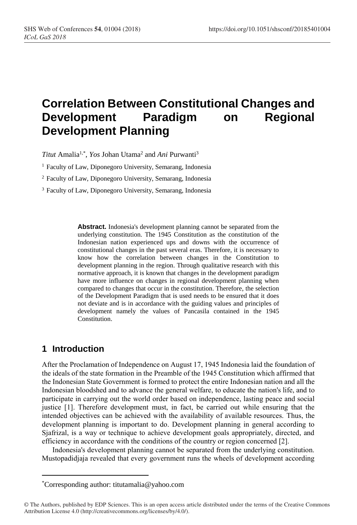# **Correlation Between Constitutional Changes and Development Paradigm on Regional Development Planning**

*Titut* Amalia1,\* , *Yos* Johan Utama<sup>2</sup> and *Ani* Purwanti<sup>3</sup>

<sup>1</sup> Faculty of Law, Diponegoro University, Semarang, Indonesia

<sup>2</sup> Faculty of Law, Diponegoro University, Semarang, Indonesia

<sup>3</sup>Faculty of Law, Diponegoro University, Semarang, Indonesia

**Abstract.** Indonesia's development planning cannot be separated from the underlying constitution. The 1945 Constitution as the constitution of the Indonesian nation experienced ups and downs with the occurrence of constitutional changes in the past several eras. Therefore, it is necessary to know how the correlation between changes in the Constitution to development planning in the region. Through qualitative research with this normative approach, it is known that changes in the development paradigm have more influence on changes in regional development planning when compared to changes that occur in the constitution. Therefore, the selection of the Development Paradigm that is used needs to be ensured that it does not deviate and is in accordance with the guiding values and principles of development namely the values of Pancasila contained in the 1945 Constitution.

### **1 Introduction**

 $\overline{a}$ 

After the Proclamation of Independence on August 17, 1945 Indonesia laid the foundation of the ideals of the state formation in the Preamble of the 1945 Constitution which affirmed that the Indonesian State Government is formed to protect the entire Indonesian nation and all the Indonesian bloodshed and to advance the general welfare, to educate the nation's life, and to participate in carrying out the world order based on independence, lasting peace and social justice [1]. Therefore development must, in fact, be carried out while ensuring that the intended objectives can be achieved with the availability of available resources. Thus, the development planning is important to do. Development planning in general according to Sjafrizal, is a way or technique to achieve development goals appropriately, directed, and efficiency in accordance with the conditions of the country or region concerned [2].

Indonesia's development planning cannot be separated from the underlying constitution. Mustopadidjaja revealed that every government runs the wheels of development according

<sup>\*</sup>Corresponding author: titutamalia@yahoo.com

<sup>©</sup> The Authors, published by EDP Sciences. This is an open access article distributed under the terms of the Creative Commons Attribution License 4.0 (http://creativecommons.org/licenses/by/4.0/).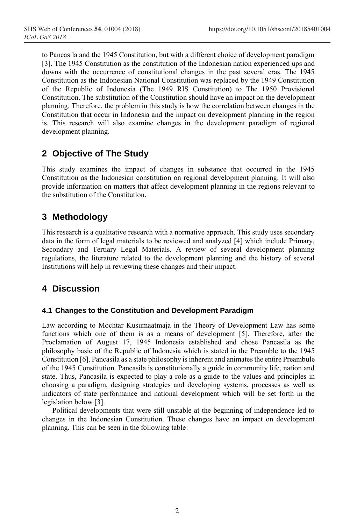to Pancasila and the 1945 Constitution, but with a different choice of development paradigm [3]. The 1945 Constitution as the constitution of the Indonesian nation experienced ups and downs with the occurrence of constitutional changes in the past several eras. The 1945 Constitution as the Indonesian National Constitution was replaced by the 1949 Constitution of the Republic of Indonesia (The 1949 RIS Constitution) to The 1950 Provisional Constitution. The substitution of the Constitution should have an impact on the development planning. Therefore, the problem in this study is how the correlation between changes in the Constitution that occur in Indonesia and the impact on development planning in the region is. This research will also examine changes in the development paradigm of regional development planning.

# **2 Objective of The Study**

This study examines the impact of changes in substance that occurred in the 1945 Constitution as the Indonesian constitution on regional development planning. It will also provide information on matters that affect development planning in the regions relevant to the substitution of the Constitution.

# **3 Methodology**

This research is a qualitative research with a normative approach. This study uses secondary data in the form of legal materials to be reviewed and analyzed [4] which include Primary, Secondary and Tertiary Legal Materials. A review of several development planning regulations, the literature related to the development planning and the history of several Institutions will help in reviewing these changes and their impact.

# **4 Discussion**

#### **4.1 Changes to the Constitution and Development Paradigm**

Law according to Mochtar Kusumaatmaja in the Theory of Development Law has some functions which one of them is as a means of development [5]. Therefore, after the Proclamation of August 17, 1945 Indonesia established and chose Pancasila as the philosophy basic of the Republic of Indonesia which is stated in the Preamble to the 1945 Constitution [6]. Pancasila as a state philosophy is inherent and animates the entire Preambule of the 1945 Constitution. Pancasila is constitutionally a guide in community life, nation and state. Thus, Pancasila is expected to play a role as a guide to the values and principles in choosing a paradigm, designing strategies and developing systems, processes as well as indicators of state performance and national development which will be set forth in the legislation below [3].

Political developments that were still unstable at the beginning of independence led to changes in the Indonesian Constitution. These changes have an impact on development planning. This can be seen in the following table: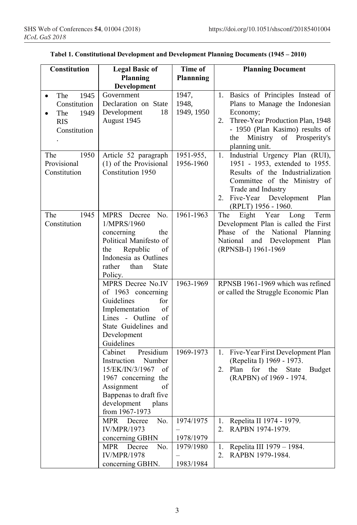| Constitution                                                                          | <b>Legal Basic of</b>                                                                                                                                                                 | Time of                      | <b>Planning Document</b>                                                                                                                                                                                                    |
|---------------------------------------------------------------------------------------|---------------------------------------------------------------------------------------------------------------------------------------------------------------------------------------|------------------------------|-----------------------------------------------------------------------------------------------------------------------------------------------------------------------------------------------------------------------------|
|                                                                                       | <b>Planning</b><br>Development                                                                                                                                                        | <b>Plannning</b>             |                                                                                                                                                                                                                             |
| The<br>1945<br>$\bullet$<br>Constitution<br>The<br>1949<br><b>RIS</b><br>Constitution | Government<br>Declaration on State<br>Development<br>18<br>August 1945                                                                                                                | 1947,<br>1948,<br>1949, 1950 | 1. Basics of Principles Instead of<br>Plans to Manage the Indonesian<br>Economy;<br>Three-Year Production Plan, 1948<br>2.<br>- 1950 (Plan Kasimo) results of<br>Ministry<br>Prosperity's<br>the<br>of<br>planning unit.    |
| 1950<br>The<br>Provisional<br>Constitution                                            | Article 52 paragraph<br>(1) of the Provisional<br>Constitution 1950                                                                                                                   | 1951-955,<br>1956-1960       | Industrial Urgency Plan (RUI),<br>1.<br>1951 - 1953, extended to 1955.<br>Results of the Industrialization<br>Committee of the Ministry of<br>Trade and Industry<br>2. Five-Year Development<br>Plan<br>(RPLT) 1956 - 1960. |
| 1945<br>The<br>Constitution                                                           | MPRS Decree<br>No.<br>1/MPRS/1960<br>the<br>concerning<br>Political Manifesto of<br>Republic<br>of<br>the<br>Indonesia as Outlines<br>rather<br>than<br><b>State</b><br>Policy.       | 1961-1963                    | The<br>Eight Year Long<br>Term<br>Development Plan is called the First<br>Phase of the National Planning<br>National<br>and<br>Development<br>Plan<br>(RPNSB-I) 1961-1969                                                   |
|                                                                                       | MPRS Decree No.IV<br>of 1963 concerning<br>Guidelines<br>for<br>Implementation<br>of<br>Lines - Outline of<br>State Guidelines and<br>Development<br>Guidelines                       | 1963-1969                    | RPNSB 1961-1969 which was refined<br>or called the Struggle Economic Plan                                                                                                                                                   |
|                                                                                       | Presidium<br>Cabinet<br>Number<br>Instruction<br>15/EK/IN/3/1967<br>of<br>1967 concerning the<br>Assignment<br>of<br>Bappenas to draft five<br>development<br>plans<br>from 1967-1973 | 1969-1973                    | 1. Five-Year First Development Plan<br>(Repelita I) 1969 - 1973.<br>2. Plan<br>for<br>the<br><b>State</b><br><b>Budget</b><br>(RAPBN) of 1969 - 1974.                                                                       |
|                                                                                       | No.<br>MPR<br>Decree<br><b>IV/MPR/1973</b><br>concerning GBHN                                                                                                                         | 1974/1975<br>1978/1979       | Repelita II 1974 - 1979.<br>1.<br>RAPBN 1974-1979.<br>2.                                                                                                                                                                    |
|                                                                                       | <b>MPR</b><br>Decree<br>No.<br><b>IV/MPR/1978</b><br>concerning GBHN.                                                                                                                 | 1979/1980<br>1983/1984       | Repelita III 1979 - 1984.<br>1.<br>2.<br>RAPBN 1979-1984.                                                                                                                                                                   |

| Tabel 1. Constitutional Development and Development Planning Documents (1945 – 2010) |  |  |  |
|--------------------------------------------------------------------------------------|--|--|--|
|--------------------------------------------------------------------------------------|--|--|--|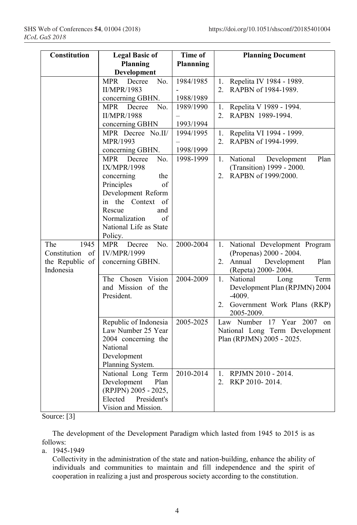| Constitution                                                                                                                                                      | <b>Legal Basic of</b><br>Planning<br>Development                                                                                                                                                               | Time of<br>Plannning   | <b>Planning Document</b>                                                                                                    |
|-------------------------------------------------------------------------------------------------------------------------------------------------------------------|----------------------------------------------------------------------------------------------------------------------------------------------------------------------------------------------------------------|------------------------|-----------------------------------------------------------------------------------------------------------------------------|
|                                                                                                                                                                   | Decree<br>No.<br>MPR<br><b>II/MPR/1983</b><br>concerning GBHN.                                                                                                                                                 | 1984/1985<br>1988/1989 | Repelita IV 1984 - 1989.<br>1.<br>RAPBN of 1984-1989.<br>2.                                                                 |
|                                                                                                                                                                   | Decree<br>No.<br><b>MPR</b><br><b>II/MPR/1988</b><br>concerning GBHN                                                                                                                                           | 1989/1990<br>1993/1994 | Repelita V 1989 - 1994.<br>1.<br>2.<br>RAPBN 1989-1994.                                                                     |
|                                                                                                                                                                   | MPR Decree No.II/<br>MPR/1993<br>concerning GBHN.                                                                                                                                                              | 1994/1995<br>1998/1999 | Repelita VI 1994 - 1999.<br>1.<br>RAPBN of 1994-1999.<br>2.                                                                 |
|                                                                                                                                                                   | Decree<br>No.<br><b>MPR</b><br>IX/MPR/1998<br>concerning<br>the<br>Principles<br>оf<br>Development Reform<br>in the Context<br>of<br>Rescue<br>and<br>Normalization<br>of<br>National Life as State<br>Policy. | 1998-1999              | Plan<br>Development<br>National<br>1.<br>(Transition) 1999 - 2000.<br>RAPBN of 1999/2000.<br>2.                             |
| The<br>1945<br>Constitution<br>$% \left( \left( \mathcal{A},\mathcal{A}\right) \right) =\left( \mathcal{A},\mathcal{A}\right)$ of<br>the Republic of<br>Indonesia | No.<br><b>MPR</b><br>Decree<br>IV/MPR/1999<br>concerning GBHN.                                                                                                                                                 | 2000-2004              | National Development Program<br>1.<br>(Propenas) 2000 - 2004.<br>Annual<br>Development<br>Plan<br>2.<br>(Repeta) 2000-2004. |
|                                                                                                                                                                   | The Chosen<br>Vision<br>and Mission of the<br>President.                                                                                                                                                       | 2004-2009              | National<br>Long<br>Term<br>1.<br>Development Plan (RPJMN) 2004<br>$-4009.$<br>2. Government Work Plans (RKP)<br>2005-2009. |
|                                                                                                                                                                   | Republic of Indonesia<br>Law Number 25 Year<br>2004 concerning the<br>National<br>Development<br>Planning System.                                                                                              | 2005-2025              | Law Number 17 Year 2007 on<br>National Long Term Development<br>Plan (RPJMN) 2005 - 2025.                                   |
|                                                                                                                                                                   | National Long Term<br>Development<br>Plan<br>(RPJPN) 2005 - 2025,<br>Elected<br>President's<br>Vision and Mission.                                                                                             | 2010-2014              | RPJMN 2010 - 2014.<br>$1_{-}$<br>2.<br>RKP 2010-2014.                                                                       |

Source: [3]

The development of the Development Paradigm which lasted from 1945 to 2015 is as follows:

a. 1945-1949

Collectivity in the administration of the state and nation-building, enhance the ability of individuals and communities to maintain and fill independence and the spirit of cooperation in realizing a just and prosperous society according to the constitution.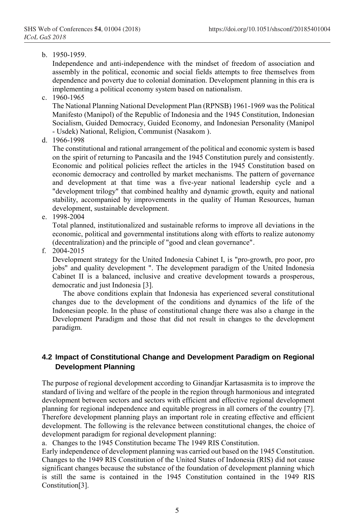#### b. 1950-1959.

Independence and anti-independence with the mindset of freedom of association and assembly in the political, economic and social fields attempts to free themselves from dependence and poverty due to colonial domination. Development planning in this era is implementing a political economy system based on nationalism.

c. 1960-1965

The National Planning National Development Plan (RPNSB) 1961-1969 was the Political Manifesto (Manipol) of the Republic of Indonesia and the 1945 Constitution, Indonesian Socialism, Guided Democracy, Guided Economy, and Indonesian Personality (Manipol - Usdek) National, Religion, Communist (Nasakom ).

d. 1966-1998

The constitutional and rational arrangement of the political and economic system is based on the spirit of returning to Pancasila and the 1945 Constitution purely and consistently. Economic and political policies reflect the articles in the 1945 Constitution based on economic democracy and controlled by market mechanisms. The pattern of governance and development at that time was a five-year national leadership cycle and a "development trilogy" that combined healthy and dynamic growth, equity and national stability, accompanied by improvements in the quality of Human Resources, human development, sustainable development.

e. 1998-2004

Total planned, institutionalized and sustainable reforms to improve all deviations in the economic, political and governmental institutions along with efforts to realize autonomy (decentralization) and the principle of "good and clean governance".

f. 2004-2015

Development strategy for the United Indonesia Cabinet I, is "pro-growth, pro poor, pro jobs" and quality development ". The development paradigm of the United Indonesia Cabinet II is a balanced, inclusive and creative development towards a prosperous, democratic and just Indonesia [3].

The above conditions explain that Indonesia has experienced several constitutional changes due to the development of the conditions and dynamics of the life of the Indonesian people. In the phase of constitutional change there was also a change in the Development Paradigm and those that did not result in changes to the development paradigm.

#### **4.2 Impact of Constitutional Change and Development Paradigm on Regional Development Planning**

The purpose of regional development according to Ginandjar Kartasasmita is to improve the standard of living and welfare of the people in the region through harmonious and integrated development between sectors and sectors with efficient and effective regional development planning for regional independence and equitable progress in all corners of the country [7]. Therefore development planning plays an important role in creating effective and efficient development. The following is the relevance between constitutional changes, the choice of development paradigm for regional development planning:

a. Changes to the 1945 Constitution became The 1949 RIS Constitution.

Early independence of development planning was carried out based on the 1945 Constitution. Changes to the 1949 RIS Constitution of the United States of Indonesia (RIS) did not cause significant changes because the substance of the foundation of development planning which is still the same is contained in the 1945 Constitution contained in the 1949 RIS Constitution[3].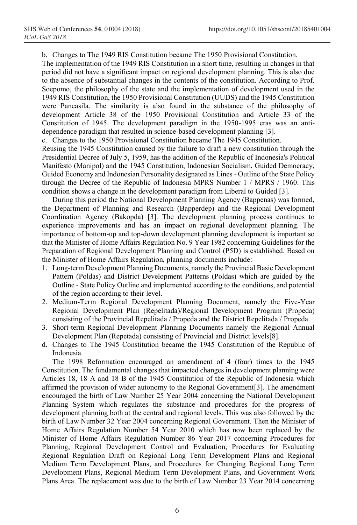b. Changes to The 1949 RIS Constitution became The 1950 Provisional Constitution.

The implementation of the 1949 RIS Constitution in a short time, resulting in changes in that period did not have a significant impact on regional development planning. This is also due to the absence of substantial changes in the contents of the constitution. According to Prof. Soepomo, the philosophy of the state and the implementation of development used in the 1949 RIS Constitution, the 1950 Provisional Constitution (UUDS) and the 1945 Constitution were Pancasila. The similarity is also found in the substance of the philosophy of development Article 38 of the 1950 Provisional Constitution and Article 33 of the Constitution of 1945. The development paradigm in the 1950-1995 eras was an antidependence paradigm that resulted in science-based development planning [3].

c. Changes to the 1950 Provisional Constitution became The 1945 Constitution.

Reusing the 1945 Constitution caused by the failure to draft a new constitution through the Presidential Decree of July 5, 1959, has the addition of the Republic of Indonesia's Political Manifesto (Manipol) and the 1945 Constitution, Indonesian Socialism, Guided Democracy, Guided Economy and Indonesian Personality designated as Lines - Outline of the State Policy through the Decree of the Republic of Indonesia MPRS Number 1 / MPRS / 1960. This condition shows a change in the development paradigm from Liberal to Guided [3].

During this period the National Development Planning Agency (Bappenas) was formed, the Department of Planning and Research (Bapperdep) and the Regional Development Coordination Agency (Bakopda) [3]. The development planning process continues to experience improvements and has an impact on regional development planning. The importance of bottom-up and top-down development planning development is important so that the Minister of Home Affairs Regulation No. 9 Year 1982 concerning Guidelines for the Preparation of Regional Development Planning and Control (P5D) is established. Based on the Minister of Home Affairs Regulation, planning documents include:

- 1. Long-term Development Planning Documents, namely the Provincial Basic Development Pattern (Poldas) and District Development Patterns (Poldas) which are guided by the Outline - State Policy Outline and implemented according to the conditions, and potential of the region according to their level.
- 2. Medium-Term Regional Development Planning Document, namely the Five-Year Regional Development Plan (Repelitada)/Regional Development Program (Propeda) consisting of the Provincial Repelitada / Propeda and the District Repelitada / Propeda.
- 3. Short-term Regional Development Planning Documents namely the Regional Annual Development Plan (Repetada) consisting of Provincial and District levels[8].
- d. Changes to The 1945 Constitution became the 1945 Constitution of the Republic of Indonesia.

The 1998 Reformation encouraged an amendment of 4 (four) times to the 1945 Constitution. The fundamental changes that impacted changes in development planning were Articles 18, 18 A and 18 B of the 1945 Constitution of the Republic of Indonesia which affirmed the provision of wider autonomy to the Regional Government[3]. The amendment encouraged the birth of Law Number 25 Year 2004 concerning the National Development Planning System which regulates the substance and procedures for the progress of development planning both at the central and regional levels. This was also followed by the birth of Law Number 32 Year 2004 concerning Regional Government. Then the Minister of Home Affairs Regulation Number 54 Year 2010 which has now been replaced by the Minister of Home Affairs Regulation Number 86 Year 2017 concerning Procedures for Planning, Regional Development Control and Evaluation, Procedures for Evaluating Regional Regulation Draft on Regional Long Term Development Plans and Regional Medium Term Development Plans, and Procedures for Changing Regional Long Term Development Plans, Regional Medium Term Development Plans, and Government Work Plans Area. The replacement was due to the birth of Law Number 23 Year 2014 concerning